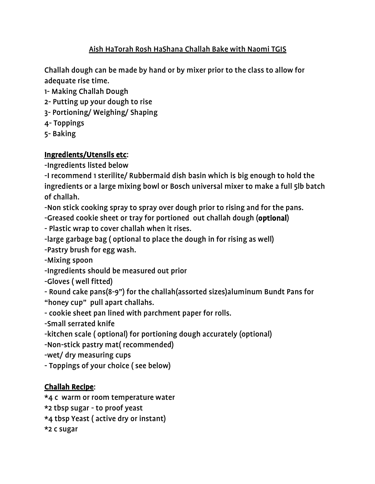## Aish HaTorah Rosh HaShana Challah Bake with Naomi TGIS

Challah dough can be made by hand or by mixer prior to the class to allow for adequate rise time.

- 1- Making Challah Dough
- 2- Putting up your dough to rise
- 3- Portioning/ Weighing/ Shaping
- 4- Toppings
- 5- Baking

## Ingredients/Utensils etc:

-Ingredients listed below

-I recommend 1 sterilite/ Rubbermaid dish basin which is big enough to hold the ingredients or a large mixing bowl or Bosch universal mixer to make a full 5lb batch of challah.

-Non stick cooking spray to spray over dough prior to rising and for the pans.

-Greased cookie sheet or tray for portioned out challah dough (optional)

- Plastic wrap to cover challah when it rises.

-large garbage bag ( optional to place the dough in for rising as well)

-Pastry brush for egg wash.

-Mixing spoon

-Ingredients should be measured out prior

-Gloves ( well fitted)

- Round cake pans(8-9") for the challah(assorted sizes)aluminum Bundt Pans for "honey cup" pull apart challahs.

- cookie sheet pan lined with parchment paper for rolls.

-Small serrated knife

-kitchen scale ( optional) for portioning dough accurately (optional)

-Non-stick pastry mat( recommended)

-wet/ dry measuring cups

- Toppings of your choice ( see below)

## Challah Recipe:

\*4 c warm or room temperature water

\*2 tbsp sugar - to proof yeast

\*4 tbsp Yeast ( active dry or instant)

\*2 c sugar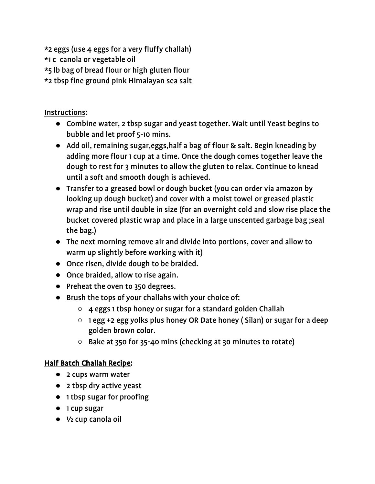\*2 eggs (use 4 eggs for a very fluffy challah) \*1 c canola or vegetable oil \*5 lb bag of bread flour or high gluten flour \*2 tbsp fine ground pink Himalayan sea salt

Instructions:

- Combine water, 2 tbsp sugar and yeast together. Wait until Yeast begins to bubble and let proof 5-10 mins.
- Add oil, remaining sugar,eggs,half a bag of flour & salt. Begin kneading by adding more flour 1 cup at a time. Once the dough comes together leave the dough to rest for 3 minutes to allow the gluten to relax. Continue to knead until a soft and smooth dough is achieved.
- Transfer to a greased bowl or dough bucket (you can order via amazon by looking up dough bucket) and cover with a moist towel or greased plastic wrap and rise until double in size (for an overnight cold and slow rise place the bucket covered plastic wrap and place in a large unscented garbage bag ;seal the bag.)
- The next morning remove air and divide into portions, cover and allow to warm up slightly before working with it)
- Once risen, divide dough to be braided.
- Once braided, allow to rise again.
- Preheat the oven to 350 degrees.
- Brush the tops of your challahs with your choice of:
	- 4 eggs 1 tbsp honey or sugar for a standard golden Challah
	- 1 egg +2 egg yolks plus honey OR Date honey ( Silan) or sugar for a deep golden brown color.
	- Bake at 350 for 35-40 mins (checking at 30 minutes to rotate)

# Half Batch Challah Recipe:

- 2 cups warm water
- 2 tbsp dry active yeast
- 1 tbsp sugar for proofing
- 1 cup sugar
- ½ cup canola oil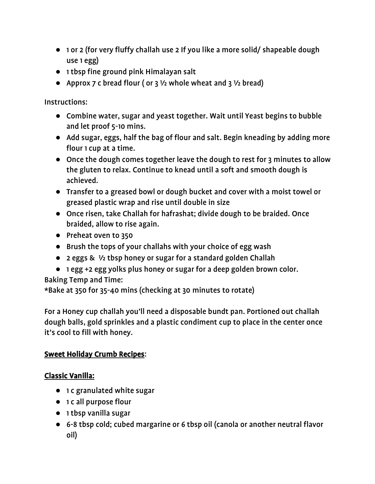- 1 or 2 (for very fluffy challah use 2 If you like a more solid/ shapeable dough use 1 egg)
- 1 tbsp fine ground pink Himalayan salt
- Approx 7 c bread flour ( or 3  $\frac{1}{2}$  whole wheat and 3  $\frac{1}{2}$  bread)

Instructions:

- Combine water, sugar and yeast together. Wait until Yeast begins to bubble and let proof 5-10 mins.
- Add sugar, eggs, half the bag of flour and salt. Begin kneading by adding more flour 1 cup at a time.
- Once the dough comes together leave the dough to rest for 3 minutes to allow the gluten to relax. Continue to knead until a soft and smooth dough is achieved.
- Transfer to a greased bowl or dough bucket and cover with a moist towel or greased plastic wrap and rise until double in size
- Once risen, take Challah for hafrashat; divide dough to be braided. Once braided, allow to rise again.
- Preheat oven to 350
- Brush the tops of your challahs with your choice of egg wash
- 2 eggs & ½ tbsp honey or sugar for a standard golden Challah
- 1 egg +2 egg yolks plus honey or sugar for a deep golden brown color.

Baking Temp and Time:

\*Bake at 350 for 35-40 mins (checking at 30 minutes to rotate)

For a Honey cup challah you'll need a disposable bundt pan. Portioned out challah dough balls, gold sprinkles and a plastic condiment cup to place in the center once it's cool to fill with honey.

# Sweet Holiday Crumb Recipes:

# Classic Vanilla:

- 1 c granulated white sugar
- 1 c all purpose flour
- 1 tbsp vanilla sugar
- 6-8 tbsp cold; cubed margarine or 6 tbsp oil (canola or another neutral flavor oil)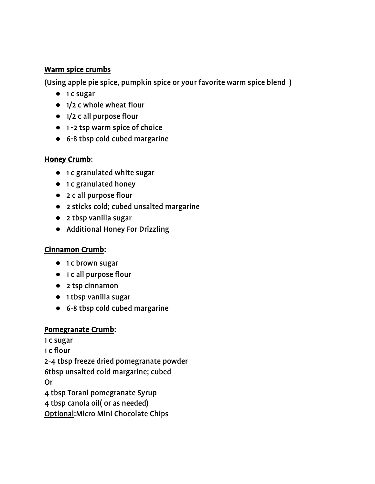#### Warm spice crumbs

(Using apple pie spice, pumpkin spice or your favorite warm spice blend )

- 1 c sugar
- 1/2 c whole wheat flour
- 1/2 c all purpose flour
- 1 -2 tsp warm spice of choice
- 6-8 tbsp cold cubed margarine

## Honey Crumb:

- 1 c granulated white sugar
- 1 c granulated honey
- 2 c all purpose flour
- 2 sticks cold; cubed unsalted margarine
- 2 tbsp vanilla sugar
- Additional Honey For Drizzling

# Cinnamon Crumb:

- 1 c brown sugar
- 1 c all purpose flour
- 2 tsp cinnamon
- 1 tbsp vanilla sugar
- 6-8 tbsp cold cubed margarine

## Pomegranate Crumb:

1 c sugar 1 c flour 2-4 tbsp freeze dried pomegranate powder 6tbsp unsalted cold margarine; cubed Or 4 tbsp Torani pomegranate Syrup 4 tbsp canola oil( or as needed) Optional:Micro Mini Chocolate Chips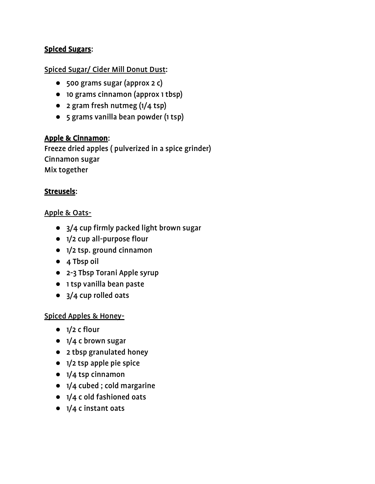### Spiced Sugars:

#### Spiced Sugar/ Cider Mill Donut Dust:

- 500 grams sugar (approx 2 c)
- 10 grams cinnamon (approx 1 tbsp)
- 2 gram fresh nutmeg (1/4 tsp)
- 5 grams vanilla bean powder (1 tsp)

### Apple & Cinnamon:

Freeze dried apples ( pulverized in a spice grinder) Cinnamon sugar Mix together

#### Streusels:

#### Apple & Oats-

- 3/4 cup firmly packed light brown sugar
- 1/2 cup all-purpose flour
- 1/2 tsp. ground cinnamon
- 4 Tbsp oil
- 2-3 Tbsp Torani Apple syrup
- 1 tsp vanilla bean paste
- 3/4 cup rolled oats

#### Spiced Apples & Honey-

- $\bullet$  1/2 c flour
- 1/4 c brown sugar
- 2 tbsp granulated honey
- 1/2 tsp apple pie spice
- 1/4 tsp cinnamon
- 1/4 cubed ; cold margarine
- 1/4 c old fashioned oats
- 1/4 c instant oats